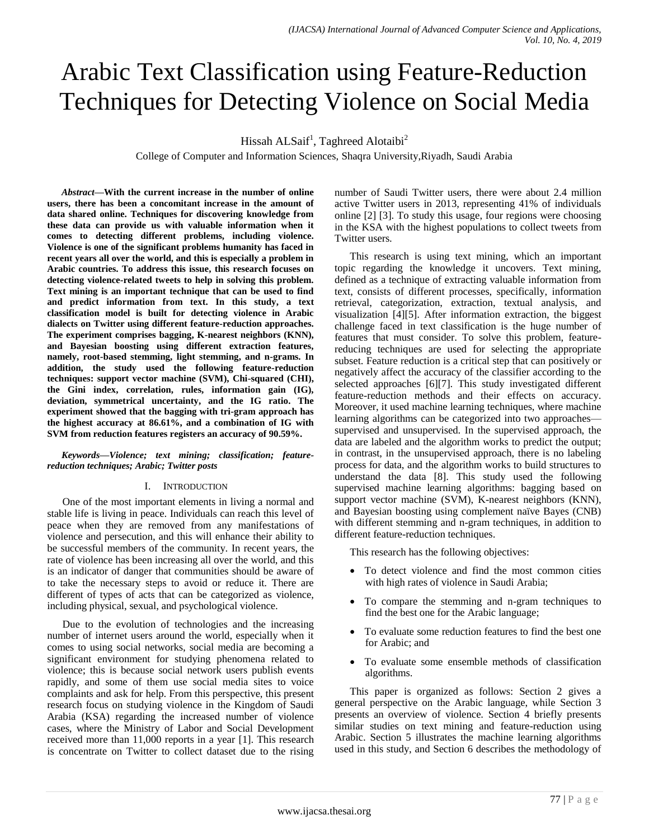# Arabic Text Classification using Feature-Reduction Techniques for Detecting Violence on Social Media

Hissah ALSaif<sup>1</sup>, Taghreed Alotaibi<sup>2</sup>

College of Computer and Information Sciences, Shaqra University,Riyadh, Saudi Arabia

*Abstract***—With the current increase in the number of online users, there has been a concomitant increase in the amount of data shared online. Techniques for discovering knowledge from these data can provide us with valuable information when it comes to detecting different problems, including violence. Violence is one of the significant problems humanity has faced in recent years all over the world, and this is especially a problem in Arabic countries. To address this issue, this research focuses on detecting violence-related tweets to help in solving this problem. Text mining is an important technique that can be used to find and predict information from text. In this study, a text classification model is built for detecting violence in Arabic dialects on Twitter using different feature-reduction approaches. The experiment comprises bagging, K-nearest neighbors (KNN), and Bayesian boosting using different extraction features, namely, root-based stemming, light stemming, and n-grams. In addition, the study used the following feature-reduction techniques: support vector machine (SVM), Chi-squared (CHI), the Gini index, correlation, rules, information gain (IG), deviation, symmetrical uncertainty, and the IG ratio. The experiment showed that the bagging with tri-gram approach has the highest accuracy at 86.61%, and a combination of IG with SVM from reduction features registers an accuracy of 90.59%.**

*Keywords—Violence; text mining; classification; featurereduction techniques; Arabic; Twitter posts*

## I. INTRODUCTION

One of the most important elements in living a normal and stable life is living in peace. Individuals can reach this level of peace when they are removed from any manifestations of violence and persecution, and this will enhance their ability to be successful members of the community. In recent years, the rate of violence has been increasing all over the world, and this is an indicator of danger that communities should be aware of to take the necessary steps to avoid or reduce it. There are different of types of acts that can be categorized as violence, including physical, sexual, and psychological violence.

Due to the evolution of technologies and the increasing number of internet users around the world, especially when it comes to using social networks, social media are becoming a significant environment for studying phenomena related to violence; this is because social network users publish events rapidly, and some of them use social media sites to voice complaints and ask for help. From this perspective, this present research focus on studying violence in the Kingdom of Saudi Arabia (KSA) regarding the increased number of violence cases, where the Ministry of Labor and Social Development received more than 11,000 reports in a year [1]. This research is concentrate on Twitter to collect dataset due to the rising number of Saudi Twitter users, there were about 2.4 million active Twitter users in 2013, representing 41% of individuals online [2] [3]. To study this usage, four regions were choosing in the KSA with the highest populations to collect tweets from Twitter users.

This research is using text mining, which an important topic regarding the knowledge it uncovers. Text mining, defined as a technique of extracting valuable information from text, consists of different processes, specifically, information retrieval, categorization, extraction, textual analysis, and visualization [4][5]. After information extraction, the biggest challenge faced in text classification is the huge number of features that must consider. To solve this problem, featurereducing techniques are used for selecting the appropriate subset. Feature reduction is a critical step that can positively or negatively affect the accuracy of the classifier according to the selected approaches [6][7]. This study investigated different feature-reduction methods and their effects on accuracy. Moreover, it used machine learning techniques, where machine learning algorithms can be categorized into two approaches supervised and unsupervised. In the supervised approach, the data are labeled and the algorithm works to predict the output; in contrast, in the unsupervised approach, there is no labeling process for data, and the algorithm works to build structures to understand the data [8]. This study used the following supervised machine learning algorithms: bagging based on support vector machine (SVM), K-nearest neighbors (KNN), and Bayesian boosting using complement naïve Bayes (CNB) with different stemming and n-gram techniques, in addition to different feature-reduction techniques.

This research has the following objectives:

- To detect violence and find the most common cities with high rates of violence in Saudi Arabia;
- To compare the stemming and n-gram techniques to find the best one for the Arabic language;
- To evaluate some reduction features to find the best one for Arabic; and
- To evaluate some ensemble methods of classification algorithms.

This paper is organized as follows: Section 2 gives a general perspective on the Arabic language, while Section 3 presents an overview of violence. Section 4 briefly presents similar studies on text mining and feature-reduction using Arabic. Section 5 illustrates the machine learning algorithms used in this study, and Section 6 describes the methodology of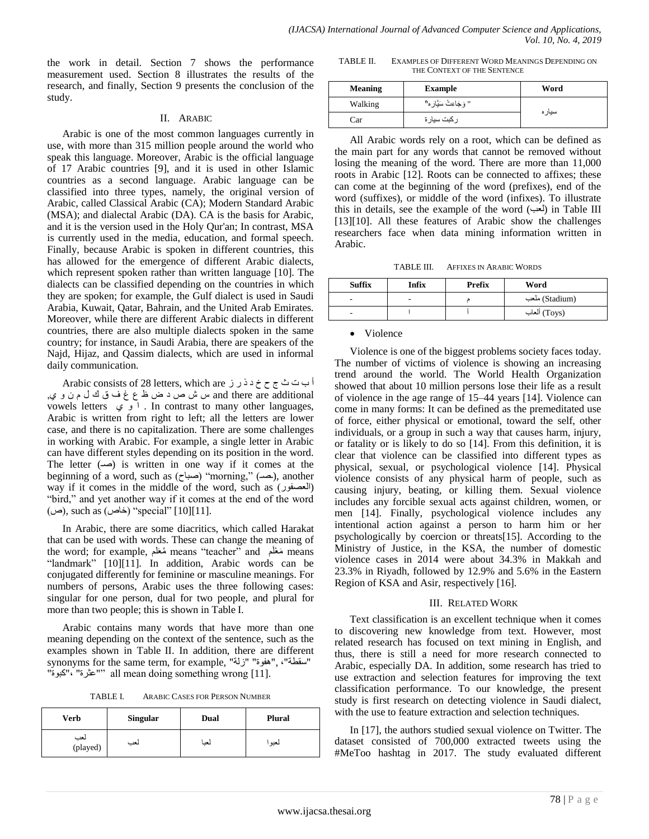the work in detail. Section 7 shows the performance measurement used. Section 8 illustrates the results of the research, and finally, Section 9 presents the conclusion of the study.

## II. ARABIC

Arabic is one of the most common languages currently in use, with more than 315 million people around the world who speak this language. Moreover, Arabic is the official language of 17 Arabic countries [9], and it is used in other Islamic countries as a second language. Arabic language can be classified into three types, namely, the original version of Arabic, called Classical Arabic (CA); Modern Standard Arabic (MSA); and dialectal Arabic (DA). CA is the basis for Arabic, and it is the version used in the Holy Qur'an; In contrast, MSA is currently used in the media, education, and formal speech. Finally, because Arabic is spoken in different countries, this has allowed for the emergence of different Arabic dialects, which represent spoken rather than written language [10]. The dialects can be classified depending on the countries in which they are spoken; for example, the Gulf dialect is used in Saudi Arabia, Kuwait, Qatar, Bahrain, and the United Arab Emirates. Moreover, while there are different Arabic dialects in different countries, there are also multiple dialects spoken in the same country; for instance, in Saudi Arabia, there are speakers of the Najd, Hijaz, and Qassim dialects, which are used in informal daily communication.

أ ب ث ث ج ح خ د ذ ر ز Arabic consists of 28 letters, which are additional are there and س ش ص د ض ظ ع غ ف ق ك ل م ن و ي, vowels letters  $\varphi$ . In contrast to many other languages, Arabic is written from right to left; all the letters are lower case, and there is no capitalization. There are some challenges in working with Arabic. For example, a single letter in Arabic can have different styles depending on its position in the word. The letter  $(\rightarrow)$  is written in one way if it comes at the beginning of a word, such as (صباح) "morning," (حب), another way if it comes in the middle of the word, such as (العصفور) "bird," and yet another way if it comes at the end of the word  $(\infty)$ , such as  $(\infty)$ "special" [10][11].

In Arabic, there are some diacritics, which called Harakat that can be used with words. These can change the meaning of the word; for example, مُعَلَم means "teacher" and شَعْلَم means "landmark" [10][11]. In addition, Arabic words can be conjugated differently for feminine or masculine meanings. For numbers of persons, Arabic uses the three following cases: singular for one person, dual for two people, and plural for more than two people; this is shown in Table I.

Arabic contains many words that have more than one meaning depending on the context of the sentence, such as the examples shown in Table II. In addition, there are different synonyms for the same term, for example, "زلت" "هفوة", ،"سقطت" "كبوة"،" عثرة ‖"all mean doing something wrong [11].

TABLE I. ARABIC CASES FOR PERSON NUMBER

| <b>Verb</b>     | <b>Singular</b> | Dual | <b>Plural</b> |
|-----------------|-----------------|------|---------------|
| لعب<br>(played) | لعب             | لعبا | لعبوء         |

TABLE II. EXAMPLES OF DIFFERENT WORD MEANINGS DEPENDING ON THE CONTEXT OF THE SENTENCE

| <b>Meaning</b> | <b>Example</b>         | Word   |
|----------------|------------------------|--------|
| Walking        | " وَجَاءَتْ سَيَّار ه" |        |
| Car            | _ كبت سيار ة           | سيار ه |

All Arabic words rely on a root, which can be defined as the main part for any words that cannot be removed without losing the meaning of the word. There are more than 11,000 roots in Arabic [12]. Roots can be connected to affixes; these can come at the beginning of the word (prefixes), end of the word (suffixes), or middle of the word (infixes). To illustrate this in details, see the example of the word  $(\rightarrowtail)$  in Table III [13][10]. All these features of Arabic show the challenges researchers face when data mining information written in Arabic.

TABLE III. AFFIXES IN ARABIC WORDS

| <b>Suffix</b> | Infix | <b>Prefix</b> | Word           |
|---------------|-------|---------------|----------------|
| ٠             | ۰     |               | (Stadium) ملعب |
| -             |       |               | (Toys) ألعاب   |

• Violence

Violence is one of the biggest problems society faces today. The number of victims of violence is showing an increasing trend around the world. The World Health Organization showed that about 10 million persons lose their life as a result of violence in the age range of 15–44 years [14]. Violence can come in many forms: It can be defined as the premeditated use of force, either physical or emotional, toward the self, other individuals, or a group in such a way that causes harm, injury, or fatality or is likely to do so [14]. From this definition, it is clear that violence can be classified into different types as physical, sexual, or psychological violence [14]. Physical violence consists of any physical harm of people, such as causing injury, beating, or killing them. Sexual violence includes any forcible sexual acts against children, women, or men [14]. Finally, psychological violence includes any intentional action against a person to harm him or her psychologically by coercion or threats[15]. According to the Ministry of Justice, in the KSA, the number of domestic violence cases in 2014 were about 34.3% in Makkah and 23.3% in Riyadh, followed by 12.9% and 5.6% in the Eastern Region of KSA and Asir, respectively [16].

## III. RELATED WORK

Text classification is an excellent technique when it comes to discovering new knowledge from text. However, most related research has focused on text mining in English, and thus, there is still a need for more research connected to Arabic, especially DA. In addition, some research has tried to use extraction and selection features for improving the text classification performance. To our knowledge, the present study is first research on detecting violence in Saudi dialect, with the use to feature extraction and selection techniques.

In [17], the authors studied sexual violence on Twitter. The dataset consisted of 700,000 extracted tweets using the #MeToo hashtag in 2017. The study evaluated different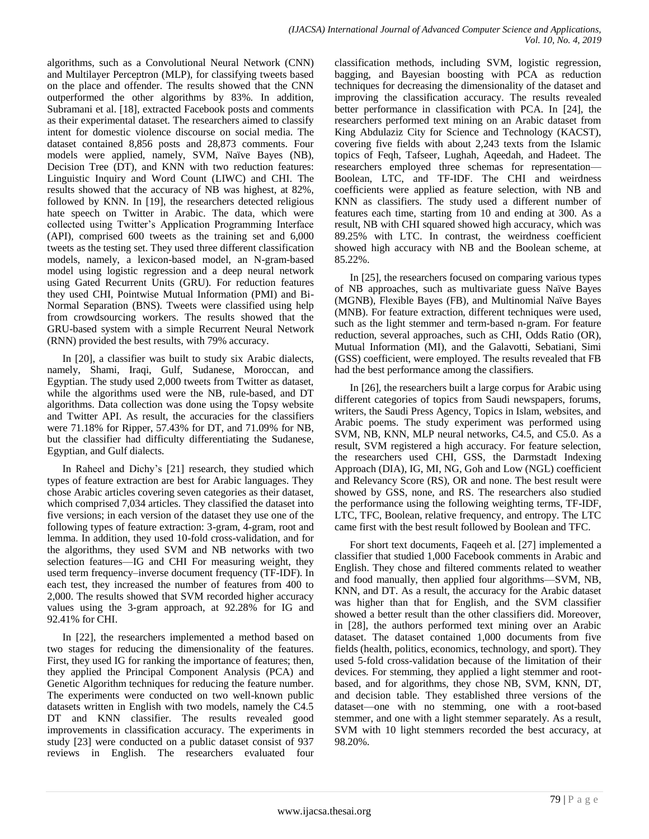algorithms, such as a Convolutional Neural Network (CNN) and Multilayer Perceptron (MLP), for classifying tweets based on the place and offender. The results showed that the CNN outperformed the other algorithms by 83%. In addition, Subramani et al. [18], extracted Facebook posts and comments as their experimental dataset. The researchers aimed to classify intent for domestic violence discourse on social media. The dataset contained 8,856 posts and 28,873 comments. Four models were applied, namely, SVM, Naïve Bayes (NB), Decision Tree (DT), and KNN with two reduction features: Linguistic Inquiry and Word Count (LIWC) and CHI. The results showed that the accuracy of NB was highest, at 82%, followed by KNN. In [19], the researchers detected religious hate speech on Twitter in Arabic. The data, which were collected using Twitter's Application Programming Interface (API), comprised 600 tweets as the training set and 6,000 tweets as the testing set. They used three different classification models, namely, a lexicon-based model, an N-gram-based model using logistic regression and a deep neural network using Gated Recurrent Units (GRU). For reduction features they used CHI, Pointwise Mutual Information (PMI) and Bi-Normal Separation (BNS). Tweets were classified using help from crowdsourcing workers. The results showed that the GRU-based system with a simple Recurrent Neural Network (RNN) provided the best results, with 79% accuracy.

In [20], a classifier was built to study six Arabic dialects, namely, Shami, Iraqi, Gulf, Sudanese, Moroccan, and Egyptian. The study used 2,000 tweets from Twitter as dataset, while the algorithms used were the NB, rule-based, and DT algorithms. Data collection was done using the Topsy website and Twitter API. As result, the accuracies for the classifiers were 71.18% for Ripper, 57.43% for DT, and 71.09% for NB, but the classifier had difficulty differentiating the Sudanese, Egyptian, and Gulf dialects.

In Raheel and Dichy's [21] research, they studied which types of feature extraction are best for Arabic languages. They chose Arabic articles covering seven categories as their dataset, which comprised 7,034 articles. They classified the dataset into five versions; in each version of the dataset they use one of the following types of feature extraction: 3-gram, 4-gram, root and lemma. In addition, they used 10-fold cross-validation, and for the algorithms, they used SVM and NB networks with two selection features—IG and CHI For measuring weight, they used term frequency–inverse document frequency (TF-IDF). In each test, they increased the number of features from 400 to 2,000. The results showed that SVM recorded higher accuracy values using the 3-gram approach, at 92.28% for IG and 92.41% for CHI.

In [22], the researchers implemented a method based on two stages for reducing the dimensionality of the features. First, they used IG for ranking the importance of features; then, they applied the Principal Component Analysis (PCA) and Genetic Algorithm techniques for reducing the feature number. The experiments were conducted on two well-known public datasets written in English with two models, namely the C4.5 DT and KNN classifier. The results revealed good improvements in classification accuracy. The experiments in study [23] were conducted on a public dataset consist of 937 reviews in English. The researchers evaluated four classification methods, including SVM, logistic regression, bagging, and Bayesian boosting with PCA as reduction techniques for decreasing the dimensionality of the dataset and improving the classification accuracy. The results revealed better performance in classification with PCA. In [24], the researchers performed text mining on an Arabic dataset from King Abdulaziz City for Science and Technology (KACST), covering five fields with about 2,243 texts from the Islamic topics of Feqh, Tafseer, Lughah, Aqeedah, and Hadeet. The researchers employed three schemas for representation— Boolean, LTC, and TF-IDF. The CHI and weirdness coefficients were applied as feature selection, with NB and KNN as classifiers. The study used a different number of features each time, starting from 10 and ending at 300. As a result, NB with CHI squared showed high accuracy, which was 89.25% with LTC. In contrast, the weirdness coefficient showed high accuracy with NB and the Boolean scheme, at 85.22%.

In [25], the researchers focused on comparing various types of NB approaches, such as multivariate guess Naïve Bayes (MGNB), Flexible Bayes (FB), and Multinomial Naïve Bayes (MNB). For feature extraction, different techniques were used, such as the light stemmer and term-based n-gram. For feature reduction, several approaches, such as CHI, Odds Ratio (OR), Mutual Information (MI), and the Galavotti, Sebatiani, Simi (GSS) coefficient, were employed. The results revealed that FB had the best performance among the classifiers.

In [26], the researchers built a large corpus for Arabic using different categories of topics from Saudi newspapers, forums, writers, the Saudi Press Agency, Topics in Islam, websites, and Arabic poems. The study experiment was performed using SVM, NB, KNN, MLP neural networks, C4.5, and C5.0. As a result, SVM registered a high accuracy. For feature selection, the researchers used CHI, GSS, the Darmstadt Indexing Approach (DIA), IG, MI, NG, Goh and Low (NGL) coefficient and Relevancy Score (RS), OR and none. The best result were showed by GSS, none, and RS. The researchers also studied the performance using the following weighting terms, TF-IDF, LTC, TFC, Boolean, relative frequency, and entropy. The LTC came first with the best result followed by Boolean and TFC.

For short text documents, Faqeeh et al. [27] implemented a classifier that studied 1,000 Facebook comments in Arabic and English. They chose and filtered comments related to weather and food manually, then applied four algorithms—SVM, NB, KNN, and DT. As a result, the accuracy for the Arabic dataset was higher than that for English, and the SVM classifier showed a better result than the other classifiers did. Moreover, in [28], the authors performed text mining over an Arabic dataset. The dataset contained 1,000 documents from five fields (health, politics, economics, technology, and sport). They used 5-fold cross-validation because of the limitation of their devices. For stemming, they applied a light stemmer and rootbased, and for algorithms, they chose NB, SVM, KNN, DT, and decision table. They established three versions of the dataset—one with no stemming, one with a root-based stemmer, and one with a light stemmer separately. As a result, SVM with 10 light stemmers recorded the best accuracy, at 98.20%.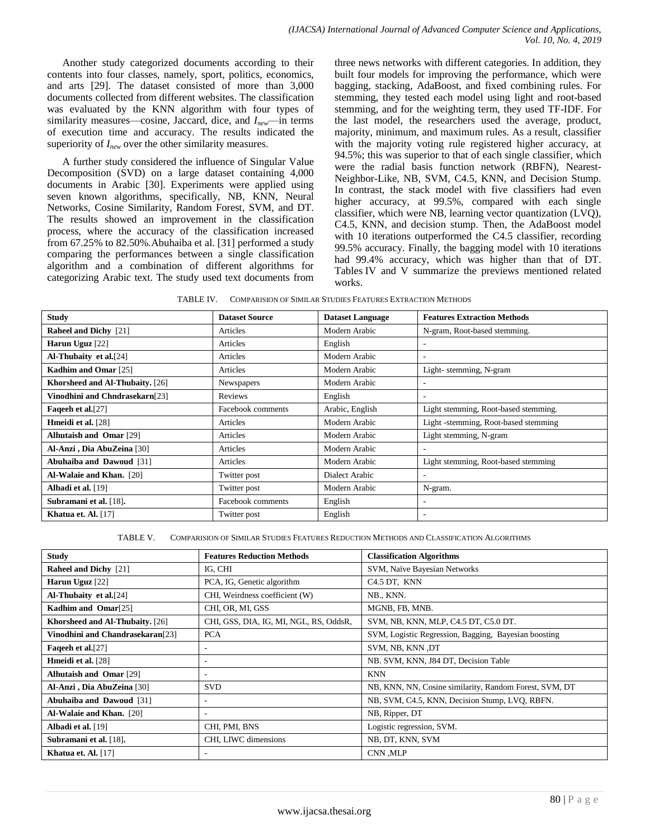Another study categorized documents according to their contents into four classes, namely, sport, politics, economics, and arts [29]. The dataset consisted of more than 3,000 documents collected from different websites. The classification was evaluated by the KNN algorithm with four types of similarity measures—cosine, Jaccard, dice, and *Inew*—in terms of execution time and accuracy. The results indicated the superiority of *Inew* over the other similarity measures.

A further study considered the influence of Singular Value Decomposition (SVD) on a large dataset containing 4,000 documents in Arabic [30]. Experiments were applied using seven known algorithms, specifically, NB, KNN, Neural Networks, Cosine Similarity, Random Forest, SVM, and DT. The results showed an improvement in the classification process, where the accuracy of the classification increased from 67.25% to 82.50%.Abuhaiba et al. [31] performed a study comparing the performances between a single classification algorithm and a combination of different algorithms for categorizing Arabic text. The study used text documents from three news networks with different categories. In addition, they built four models for improving the performance, which were bagging, stacking, AdaBoost, and fixed combining rules. For stemming, they tested each model using light and root-based stemming, and for the weighting term, they used TF-IDF. For the last model, the researchers used the average, product, majority, minimum, and maximum rules. As a result, classifier with the majority voting rule registered higher accuracy, at 94.5%; this was superior to that of each single classifier, which were the radial basis function network (RBFN), Nearest-Neighbor-Like, NB, SVM, C4.5, KNN, and Decision Stump. In contrast, the stack model with five classifiers had even higher accuracy, at 99.5%, compared with each single classifier, which were NB, learning vector quantization (LVQ), C4.5, KNN, and decision stump. Then, the AdaBoost model with 10 iterations outperformed the C4.5 classifier, recording 99.5% accuracy. Finally, the bagging model with 10 iterations had 99.4% accuracy, which was higher than that of DT. Tables IV and V summarize the previews mentioned related works.

TABLE IV. COMPARISION OF SIMILAR STUDIES FEATURES EXTRACTION METHODS

| <b>Study</b>                    | <b>Dataset Source</b> | <b>Dataset Language</b> | <b>Features Extraction Methods</b>   |
|---------------------------------|-----------------------|-------------------------|--------------------------------------|
| <b>Raheel and Dichy</b> [21]    | Articles              | Modern Arabic           | N-gram, Root-based stemming.         |
| Harun Uguz [22]                 | Articles              | English                 | ۰.                                   |
| Al-Thubaity et al.[24]          | Articles              | Modern Arabic           | ٠                                    |
| Kadhim and Omar [25]            | Articles              | Modern Arabic           | Light-stemming, N-gram               |
| Khorsheed and Al-Thubaity. [26] | Newspapers            | Modern Arabic           | ۰                                    |
| Vinodhini and Chndrasekarn[23]  | Reviews               | English                 | ٠                                    |
| <b>Fageeh et al.</b> [27]       | Facebook comments     | Arabic, English         | Light stemming, Root-based stemming. |
| <b>Hmeidi et al.</b> [28]       | Articles              | Modern Arabic           | Light -stemming, Root-based stemming |
| <b>Alhutaish and Omar [29]</b>  | Articles              | Modern Arabic           | Light stemming, N-gram               |
| Al-Anzi, Dia AbuZeina [30]      | Articles              | Modern Arabic           | ۰                                    |
| Abuhaiba and Dawoud [31]        | Articles              | Modern Arabic           | Light stemming, Root-based stemming  |
| Al-Walaie and Khan. [20]        | Twitter post          | Dialect Arabic          | ۰                                    |
| <b>Albadi et al.</b> [19]       | Twitter post          | Modern Arabic           | N-gram.                              |
| Subramani et al. [18].          | Facebook comments     | English                 | ٠                                    |
| Khatua et. Al. $[17]$           | Twitter post          | English                 | ۰                                    |

TABLE V. COMPARISION OF SIMILAR STUDIES FEATURES REDUCTION METHODS AND CLASSIFICATION ALGORITHMS

| <b>Study</b>                                 | <b>Features Reduction Methods</b>      | <b>Classification Algorithms</b>                       |
|----------------------------------------------|----------------------------------------|--------------------------------------------------------|
| <b>Raheel and Dichy</b> [21]                 | IG, CHI                                | SVM, Naïve Bayesian Networks                           |
| Harun Uguz [22]                              | PCA, IG, Genetic algorithm             | C <sub>4.5</sub> DT, KNN                               |
| <b>Al-Thubaity et al.</b> [24]               | CHI, Weirdness coefficient (W)         | NB., KNN.                                              |
| Kadhim and Omar <sup>[25]</sup>              | CHI, OR, MI, GSS                       | MGNB, FB, MNB.                                         |
| Khorsheed and Al-Thubaity. [26]              | CHI, GSS, DIA, IG, MI, NGL, RS, OddsR, | SVM, NB, KNN, MLP, C4.5 DT, C5.0 DT.                   |
| Vinodhini and Chandrasekaran <sup>[23]</sup> | <b>PCA</b>                             | SVM, Logistic Regression, Bagging, Bayesian boosting   |
| Faqeeh et al.[27]                            | ٠                                      | SVM, NB, KNN, DT                                       |
| <b>Hmeidi et al.</b> [28]                    | $\overline{\phantom{a}}$               | NB. SVM, KNN, J84 DT, Decision Table                   |
| <b>Alhutaish and Omar [29]</b>               | ٠                                      | <b>KNN</b>                                             |
| Al-Anzi, Dia AbuZeina [30]                   | <b>SVD</b>                             | NB, KNN, NN, Cosine similarity, Random Forest, SVM, DT |
| Abuhaiba and Dawoud [31]                     | ۰.                                     | NB, SVM, C4.5, KNN, Decision Stump, LVQ, RBFN.         |
| <b>Al-Walaie and Khan.</b> [20]              | $\overline{\phantom{a}}$               | NB, Ripper, DT                                         |
| <b>Albadi et al.</b> [19]                    | CHI, PMI, BNS                          | Logistic regression, SVM.                              |
| Subramani et al. [18].                       | CHI, LIWC dimensions                   | NB, DT, KNN, SVM                                       |
| Khatua et. Al. [17]                          | $\overline{\phantom{a}}$               | CNN .MLP                                               |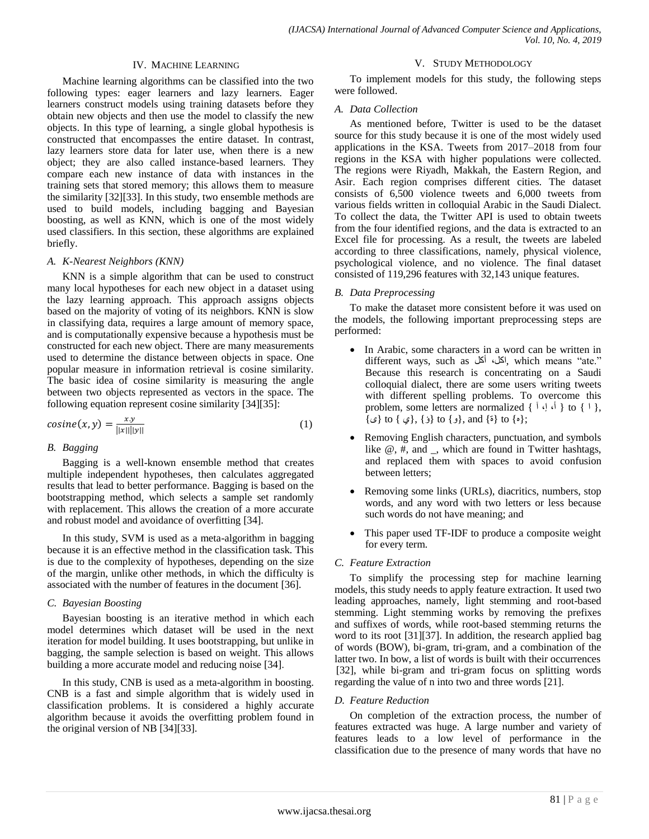## IV. MACHINE LEARNING

Machine learning algorithms can be classified into the two following types: eager learners and lazy learners. Eager learners construct models using training datasets before they obtain new objects and then use the model to classify the new objects. In this type of learning, a single global hypothesis is constructed that encompasses the entire dataset. In contrast, lazy learners store data for later use, when there is a new object; they are also called instance-based learners. They compare each new instance of data with instances in the training sets that stored memory; this allows them to measure the similarity [32][33]. In this study, two ensemble methods are used to build models, including bagging and Bayesian boosting, as well as KNN, which is one of the most widely used classifiers. In this section, these algorithms are explained briefly.

## *A. K-Nearest Neighbors (KNN)*

KNN is a simple algorithm that can be used to construct many local hypotheses for each new object in a dataset using the lazy learning approach. This approach assigns objects based on the majority of voting of its neighbors. KNN is slow in classifying data, requires a large amount of memory space, and is computationally expensive because a hypothesis must be constructed for each new object. There are many measurements used to determine the distance between objects in space. One popular measure in information retrieval is cosine similarity. The basic idea of cosine similarity is measuring the angle between two objects represented as vectors in the space. The following equation represent cosine similarity [34][35]:

$$
cosine(x, y) = \frac{xy}{\|x\| \|y\|}
$$
 (1)

### *B. Bagging*

Bagging is a well-known ensemble method that creates multiple independent hypotheses, then calculates aggregated results that lead to better performance. Bagging is based on the bootstrapping method, which selects a sample set randomly with replacement. This allows the creation of a more accurate and robust model and avoidance of overfitting [34].

In this study, SVM is used as a meta-algorithm in bagging because it is an effective method in the classification task. This is due to the complexity of hypotheses, depending on the size of the margin, unlike other methods, in which the difficulty is associated with the number of features in the document [36].

#### *C. Bayesian Boosting*

Bayesian boosting is an iterative method in which each model determines which dataset will be used in the next iteration for model building. It uses bootstrapping, but unlike in bagging, the sample selection is based on weight. This allows building a more accurate model and reducing noise [34].

In this study, CNB is used as a meta-algorithm in boosting. CNB is a fast and simple algorithm that is widely used in classification problems. It is considered a highly accurate algorithm because it avoids the overfitting problem found in the original version of NB [34][33].

### V. STUDY METHODOLOGY

To implement models for this study, the following steps were followed.

### *A. Data Collection*

As mentioned before, Twitter is used to be the dataset source for this study because it is one of the most widely used applications in the KSA. Tweets from 2017–2018 from four regions in the KSA with higher populations were collected. The regions were Riyadh, Makkah, the Eastern Region, and Asir. Each region comprises different cities. The dataset consists of 6,500 violence tweets and 6,000 tweets from various fields written in colloquial Arabic in the Saudi Dialect. To collect the data, the Twitter API is used to obtain tweets from the four identified regions, and the data is extracted to an Excel file for processing. As a result, the tweets are labeled according to three classifications, namely, physical violence, psychological violence, and no violence. The final dataset consisted of 119,296 features with 32,143 unique features.

## *B. Data Preprocessing*

To make the dataset more consistent before it was used on the models, the following important preprocessing steps are performed:

- In Arabic, some characters in a word can be written in different ways, such as أكل، أكل , which means "ate." Because this research is concentrating on a Saudi colloquial dialect, there are some users writing tweets with different spelling problems. To overcome this problem, some letters are normalized {  $\begin{bmatrix} 1 & 0 \\ 1 & 1 \end{bmatrix}$  to {  $\begin{bmatrix} 1 \\ 1 \end{bmatrix}$ , ;{ه} to} ة} and ,}و} to} ؤ} ,{ي } to} ى}
- Removing English characters, punctuation, and symbols like @, #, and \_, which are found in Twitter hashtags, and replaced them with spaces to avoid confusion between letters;
- Removing some links (URLs), diacritics, numbers, stop words, and any word with two letters or less because such words do not have meaning; and
- This paper used TF-IDF to produce a composite weight for every term.

## *C. Feature Extraction*

To simplify the processing step for machine learning models, this study needs to apply feature extraction. It used two leading approaches, namely, light stemming and root-based stemming. Light stemming works by removing the prefixes and suffixes of words, while root-based stemming returns the word to its root [31][37]. In addition, the research applied bag of words (BOW), bi-gram, tri-gram, and a combination of the latter two. In bow, a list of words is built with their occurrences [32], while bi-gram and tri-gram focus on splitting words regarding the value of n into two and three words [21].

#### *D. Feature Reduction*

On completion of the extraction process, the number of features extracted was huge. A large number and variety of features leads to a low level of performance in the classification due to the presence of many words that have no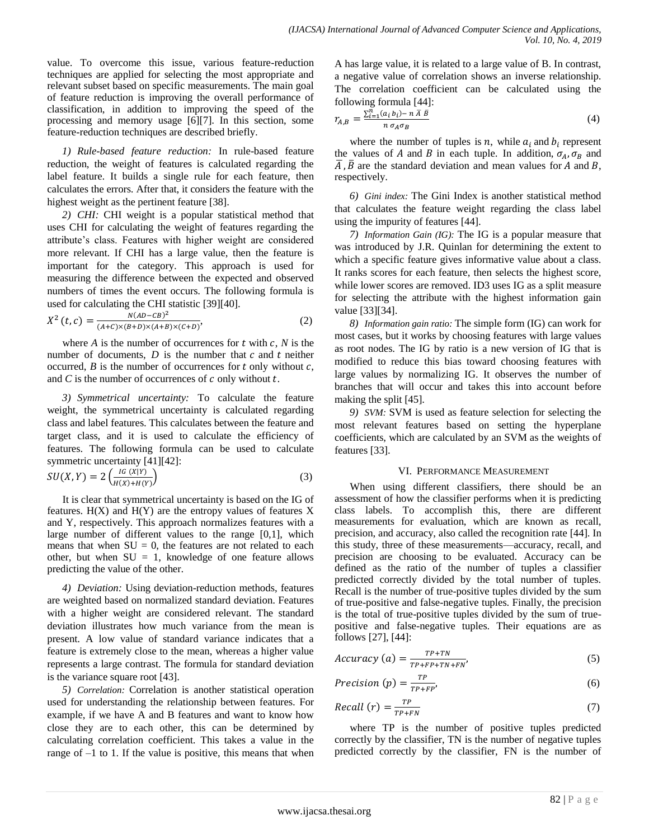value. To overcome this issue, various feature-reduction techniques are applied for selecting the most appropriate and relevant subset based on specific measurements. The main goal of feature reduction is improving the overall performance of classification, in addition to improving the speed of the processing and memory usage [6][7]. In this section, some feature-reduction techniques are described briefly.

*1) Rule-based feature reduction:* In rule-based feature reduction, the weight of features is calculated regarding the label feature. It builds a single rule for each feature, then calculates the errors. After that, it considers the feature with the highest weight as the pertinent feature [38].

*2) CHI:* CHI weight is a popular statistical method that uses CHI for calculating the weight of features regarding the attribute's class. Features with higher weight are considered more relevant. If CHI has a large value, then the feature is important for the category. This approach is used for measuring the difference between the expected and observed numbers of times the event occurs. The following formula is used for calculating the CHI statistic [39][40].

$$
X^{2}(t, c) = \frac{N(AD - CB)^{2}}{(A + C) \times (B + D) \times (A + B) \times (C + D)},
$$
\n(2)

where  $A$  is the number of occurrences for  $t$  with  $c$ ,  $N$  is the number of documents,  $D$  is the number that  $c$  and  $t$  neither occurred,  $B$  is the number of occurrences for  $t$  only without  $c$ , and  $C$  is the number of occurrences of  $c$  only without  $t$ .

*3) Symmetrical uncertainty:* To calculate the feature weight, the symmetrical uncertainty is calculated regarding class and label features. This calculates between the feature and target class, and it is used to calculate the efficiency of features. The following formula can be used to calculate symmetric uncertainty [41][42]:

$$
SU(X,Y) = 2\left(\frac{IG(X|Y)}{H(X) + H(Y)}\right) \tag{3}
$$

It is clear that symmetrical uncertainty is based on the IG of features.  $H(X)$  and  $H(Y)$  are the entropy values of features X and Y, respectively. This approach normalizes features with a large number of different values to the range [0,1], which means that when  $SU = 0$ , the features are not related to each other, but when  $SU = 1$ , knowledge of one feature allows predicting the value of the other.

*4) Deviation:* Using deviation-reduction methods, features are weighted based on normalized standard deviation. Features with a higher weight are considered relevant. The standard deviation illustrates how much variance from the mean is present. A low value of standard variance indicates that a feature is extremely close to the mean, whereas a higher value represents a large contrast. The formula for standard deviation is the variance square root [43].

*5) Correlation:* Correlation is another statistical operation used for understanding the relationship between features. For example, if we have A and B features and want to know how close they are to each other, this can be determined by calculating correlation coefficient. This takes a value in the range of –1 to 1. If the value is positive, this means that when A has large value, it is related to a large value of B. In contrast, a negative value of correlation shows an inverse relationship. The correlation coefficient can be calculated using the following formula [44]:

$$
r_{A,B} = \frac{\sum_{i=1}^{n} (a_i b_i) - n \bar{A} \bar{B}}{n \sigma_A \sigma_B}
$$
(4)

where the number of tuples is *n*, while  $a_i$  and  $b_i$  represent the values of A and B in each tuple. In addition,  $\sigma_A$ ,  $\sigma_B$  and  $\overline{A}$ ,  $\overline{B}$  are the standard deviation and mean values for A and B, respectively.

*6) Gini index:* The Gini Index is another statistical method that calculates the feature weight regarding the class label using the impurity of features [44].

*7) Information Gain (IG):* The IG is a popular measure that was introduced by J.R. Quinlan for determining the extent to which a specific feature gives informative value about a class. It ranks scores for each feature, then selects the highest score, while lower scores are removed. ID3 uses IG as a split measure for selecting the attribute with the highest information gain value [33][34].

*8) Information gain ratio:* The simple form (IG) can work for most cases, but it works by choosing features with large values as root nodes. The IG by ratio is a new version of IG that is modified to reduce this bias toward choosing features with large values by normalizing IG. It observes the number of branches that will occur and takes this into account before making the split [45].

*9) SVM:* SVM is used as feature selection for selecting the most relevant features based on setting the hyperplane coefficients, which are calculated by an SVM as the weights of features [33].

## VI. PERFORMANCE MEASUREMENT

When using different classifiers, there should be an assessment of how the classifier performs when it is predicting class labels. To accomplish this, there are different measurements for evaluation, which are known as recall, precision, and accuracy, also called the recognition rate [44]. In this study, three of these measurements—accuracy, recall, and precision are choosing to be evaluated. Accuracy can be defined as the ratio of the number of tuples a classifier predicted correctly divided by the total number of tuples. Recall is the number of true-positive tuples divided by the sum of true-positive and false-negative tuples. Finally, the precision is the total of true-positive tuples divided by the sum of truepositive and false-negative tuples. Their equations are as follows [27], [44]:

$$
Accuracy (a) = \frac{TP + TN}{TP + FP + TN + FN'}
$$
 (5)

$$
Precision(p) = \frac{TP}{TP + FP'}
$$
\n(6)

$$
Recall (r) = \frac{rp}{rp + FN}
$$
 (7)

where TP is the number of positive tuples predicted correctly by the classifier, TN is the number of negative tuples predicted correctly by the classifier, FN is the number of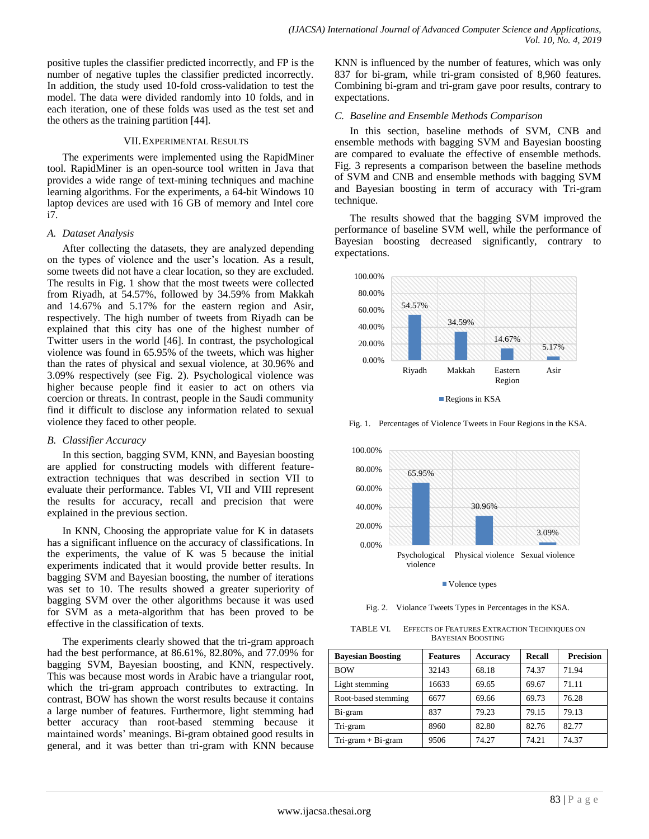positive tuples the classifier predicted incorrectly, and FP is the number of negative tuples the classifier predicted incorrectly. In addition, the study used 10-fold cross-validation to test the model. The data were divided randomly into 10 folds, and in each iteration, one of these folds was used as the test set and the others as the training partition [44].

## VII.EXPERIMENTAL RESULTS

The experiments were implemented using the RapidMiner tool. RapidMiner is an open-source tool written in Java that provides a wide range of text-mining techniques and machine learning algorithms. For the experiments, a 64-bit Windows 10 laptop devices are used with 16 GB of memory and Intel core i7.

## *A. Dataset Analysis*

After collecting the datasets, they are analyzed depending on the types of violence and the user's location. As a result, some tweets did not have a clear location, so they are excluded. The results in Fig. 1 show that the most tweets were collected from Riyadh, at 54.57%, followed by 34.59% from Makkah and 14.67% and 5.17% for the eastern region and Asir, respectively. The high number of tweets from Riyadh can be explained that this city has one of the highest number of Twitter users in the world [46]. In contrast, the psychological violence was found in 65.95% of the tweets, which was higher than the rates of physical and sexual violence, at 30.96% and 3.09% respectively (see Fig. 2). Psychological violence was higher because people find it easier to act on others via coercion or threats. In contrast, people in the Saudi community find it difficult to disclose any information related to sexual violence they faced to other people.

## *B. Classifier Accuracy*

In this section, bagging SVM, KNN, and Bayesian boosting are applied for constructing models with different featureextraction techniques that was described in section VII to evaluate their performance. Tables VI, VII and VIII represent the results for accuracy, recall and precision that were explained in the previous section.

In KNN, Choosing the appropriate value for K in datasets has a significant influence on the accuracy of classifications. In the experiments, the value of K was 5 because the initial experiments indicated that it would provide better results. In bagging SVM and Bayesian boosting, the number of iterations was set to 10. The results showed a greater superiority of bagging SVM over the other algorithms because it was used for SVM as a meta-algorithm that has been proved to be effective in the classification of texts.

The experiments clearly showed that the tri-gram approach had the best performance, at 86.61%, 82.80%, and 77.09% for bagging SVM, Bayesian boosting, and KNN, respectively. This was because most words in Arabic have a triangular root, which the tri-gram approach contributes to extracting. In contrast, BOW has shown the worst results because it contains a large number of features. Furthermore, light stemming had better accuracy than root-based stemming because it maintained words' meanings. Bi-gram obtained good results in general, and it was better than tri-gram with KNN because KNN is influenced by the number of features, which was only 837 for bi-gram, while tri-gram consisted of 8,960 features. Combining bi-gram and tri-gram gave poor results, contrary to expectations.

## *C. Baseline and Ensemble Methods Comparison*

In this section, baseline methods of SVM, CNB and ensemble methods with bagging SVM and Bayesian boosting are compared to evaluate the effective of ensemble methods. Fig. 3 represents a comparison between the baseline methods of SVM and CNB and ensemble methods with bagging SVM and Bayesian boosting in term of accuracy with Tri-gram technique.

The results showed that the bagging SVM improved the performance of baseline SVM well, while the performance of Bayesian boosting decreased significantly, contrary to expectations.



Fig. 1. Percentages of Violence Tweets in Four Regions in the KSA.



■ Volence types

Fig. 2. Violance Tweets Types in Percentages in the KSA.

TABLE VI. EFFECTS OF FEATURES EXTRACTION TECHNIQUES ON BAYESIAN BOOSTING

| <b>Bavesian Boosting</b> | <b>Features</b> | <b>Accuracy</b> | Recall | <b>Precision</b> |
|--------------------------|-----------------|-----------------|--------|------------------|
| <b>BOW</b>               | 32143           | 68.18           | 74.37  | 71.94            |
| Light stemming           | 16633           | 69.65           | 69.67  | 71.11            |
| Root-based stemming      | 6677            | 69.66           | 69.73  | 76.28            |
| Bi-gram                  | 837             | 79.23           | 79.15  | 79.13            |
| Tri-gram                 | 8960            | 82.80           | 82.76  | 82.77            |
| $Tri-gram + Bi-gram$     | 9506            | 74.27           | 74.21  | 74.37            |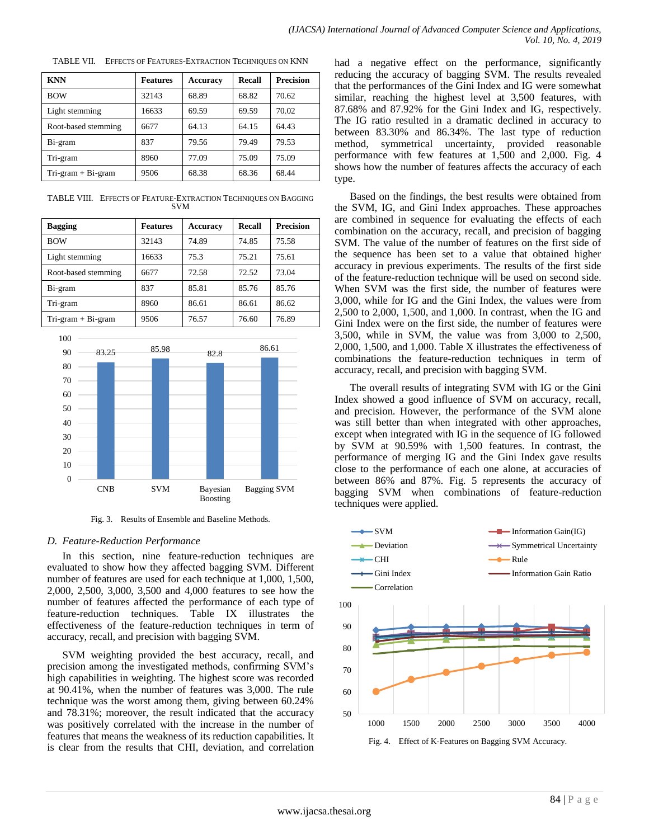| <b>KNN</b>           | <b>Features</b> | <b>Accuracy</b> | <b>Recall</b> | <b>Precision</b> |
|----------------------|-----------------|-----------------|---------------|------------------|
| <b>BOW</b>           | 32143           | 68.89           | 68.82         | 70.62            |
| Light stemming       | 16633           | 69.59           | 69.59         | 70.02            |
| Root-based stemming  | 6677            | 64.13           | 64.15         | 64.43            |
| Bi-gram              | 837             | 79.56           | 79.49         | 79.53            |
| Tri-gram             | 8960            | 77.09           | 75.09         | 75.09            |
| $Tri-gram + Bi-gram$ | 9506            | 68.38           | 68.36         | 68.44            |

TABLE VII. EFFECTS OF FEATURES-EXTRACTION TECHNIQUES ON KNN

TABLE VIII. EFFECTS OF FEATURE-EXTRACTION TECHNIQUES ON BAGGING SVM

| <b>Bagging</b>       | <b>Features</b> | <b>Accuracy</b> | Recall | <b>Precision</b> |
|----------------------|-----------------|-----------------|--------|------------------|
| <b>BOW</b>           | 32143           | 74.89           | 74.85  | 75.58            |
| Light stemming       | 16633           | 75.3            | 75.21  | 75.61            |
| Root-based stemming  | 6677            | 72.58           | 72.52  | 73.04            |
| Bi-gram              | 837             | 85.81           | 85.76  | 85.76            |
| Tri-gram             | 8960            | 86.61           | 86.61  | 86.62            |
| $Tri-gram + Bi-gram$ | 9506            | 76.57           | 76.60  | 76.89            |



Fig. 3. Results of Ensemble and Baseline Methods.

## *D. Feature-Reduction Performance*

In this section, nine feature-reduction techniques are evaluated to show how they affected bagging SVM. Different number of features are used for each technique at 1,000, 1,500, 2,000, 2,500, 3,000, 3,500 and 4,000 features to see how the number of features affected the performance of each type of feature-reduction techniques. Table IX illustrates the effectiveness of the feature-reduction techniques in term of accuracy, recall, and precision with bagging SVM.

SVM weighting provided the best accuracy, recall, and precision among the investigated methods, confirming SVM's high capabilities in weighting. The highest score was recorded at 90.41%, when the number of features was 3,000. The rule technique was the worst among them, giving between 60.24% and 78.31%; moreover, the result indicated that the accuracy was positively correlated with the increase in the number of features that means the weakness of its reduction capabilities. It is clear from the results that CHI, deviation, and correlation had a negative effect on the performance, significantly reducing the accuracy of bagging SVM. The results revealed that the performances of the Gini Index and IG were somewhat similar, reaching the highest level at 3,500 features, with 87.68% and 87.92% for the Gini Index and IG, respectively. The IG ratio resulted in a dramatic declined in accuracy to between 83.30% and 86.34%. The last type of reduction method, symmetrical uncertainty, provided reasonable performance with few features at 1,500 and 2,000. Fig. 4 shows how the number of features affects the accuracy of each type.

Based on the findings, the best results were obtained from the SVM, IG, and Gini Index approaches. These approaches are combined in sequence for evaluating the effects of each combination on the accuracy, recall, and precision of bagging SVM. The value of the number of features on the first side of the sequence has been set to a value that obtained higher accuracy in previous experiments. The results of the first side of the feature-reduction technique will be used on second side. When SVM was the first side, the number of features were 3,000, while for IG and the Gini Index, the values were from 2,500 to 2,000, 1,500, and 1,000. In contrast, when the IG and Gini Index were on the first side, the number of features were 3,500, while in SVM, the value was from 3,000 to 2,500, 2,000, 1,500, and 1,000. Table X illustrates the effectiveness of combinations the feature-reduction techniques in term of accuracy, recall, and precision with bagging SVM.

The overall results of integrating SVM with IG or the Gini Index showed a good influence of SVM on accuracy, recall, and precision. However, the performance of the SVM alone was still better than when integrated with other approaches, except when integrated with IG in the sequence of IG followed by SVM at 90.59% with 1,500 features. In contrast, the performance of merging IG and the Gini Index gave results close to the performance of each one alone, at accuracies of between 86% and 87%. Fig. 5 represents the accuracy of bagging SVM when combinations of feature-reduction techniques were applied.

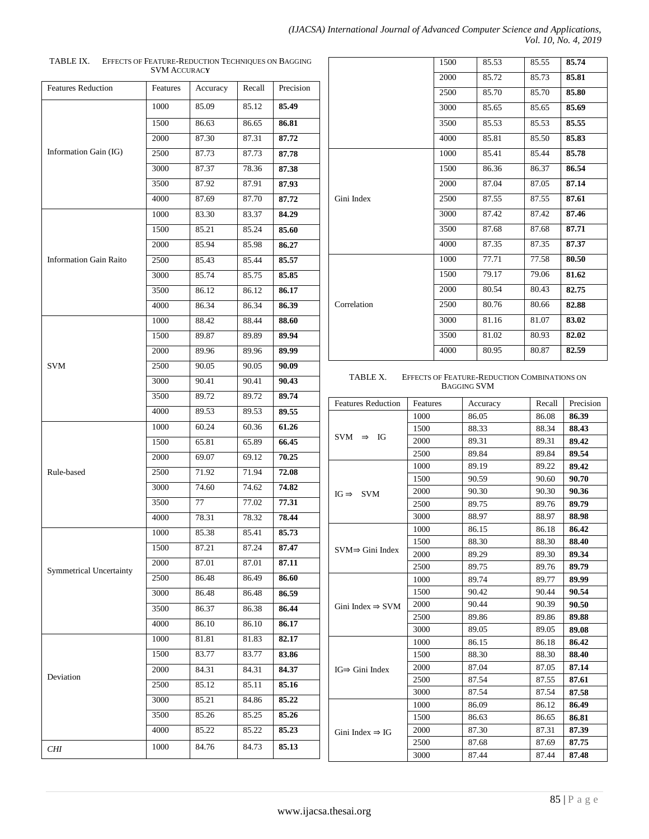| (IJACSA) International Journal of Advanced Computer Science and Applications, |
|-------------------------------------------------------------------------------|
| Vol. 10, No. 4, 2019                                                          |

Г

| 170 LL 1/1.                    | <b>SVM ACCURACY</b> | EFFECTS OF TEATURE-REDUCTION TECHNIQUES ON DAUGHNO |        |           |                              |
|--------------------------------|---------------------|----------------------------------------------------|--------|-----------|------------------------------|
| <b>Features Reduction</b>      | Features            | Accuracy                                           | Recall | Precision |                              |
|                                | 1000                | 85.09                                              | 85.12  | 85.49     |                              |
|                                | 1500                | 86.63                                              | 86.65  | 86.81     |                              |
|                                | 2000                | 87.30                                              | 87.31  | 87.72     |                              |
| Information Gain (IG)          | 2500                | 87.73                                              | 87.73  | 87.78     |                              |
|                                | 3000                | 87.37                                              | 78.36  | 87.38     |                              |
|                                | 3500                | 87.92                                              | 87.91  | 87.93     |                              |
|                                | 4000                | 87.69                                              | 87.70  | 87.72     | Gini Index                   |
|                                | 1000                | 83.30                                              | 83.37  | 84.29     |                              |
|                                | 1500                | 85.21                                              | 85.24  | 85.60     |                              |
|                                | 2000                | 85.94                                              | 85.98  | 86.27     |                              |
| <b>Information Gain Raito</b>  | 2500                | 85.43                                              | 85.44  | 85.57     |                              |
|                                | 3000                | 85.74                                              | 85.75  | 85.85     |                              |
|                                | 3500                | 86.12                                              | 86.12  | 86.17     |                              |
|                                | 4000                | 86.34                                              | 86.34  | 86.39     | Correlation                  |
|                                | 1000                | 88.42                                              | 88.44  | 88.60     |                              |
|                                | 1500                | 89.87                                              | 89.89  | 89.94     |                              |
|                                | 2000                | 89.96                                              | 89.96  | 89.99     |                              |
| <b>SVM</b>                     | 2500                | 90.05                                              | 90.05  | 90.09     |                              |
|                                | 3000                | 90.41                                              | 90.41  | 90.43     | TABLE X.<br>Er               |
|                                | 3500                | 89.72                                              | 89.72  | 89.74     | <b>Features Reduction</b>    |
|                                | 4000                | 89.53                                              | 89.53  | 89.55     |                              |
|                                | 1000                | 60.24                                              | 60.36  | 61.26     |                              |
|                                | 1500                | 65.81                                              | 65.89  | 66.45     | $SVM \Rightarrow IG$         |
|                                | 2000                | 69.07                                              | 69.12  | 70.25     |                              |
| Rule-based                     | 2500                | 71.92                                              | 71.94  | 72.08     |                              |
|                                | 3000                | 74.60                                              | 74.62  | 74.82     | $IG \Rightarrow$ SVM         |
|                                | 3500                | 77                                                 | 77.02  | 77.31     |                              |
|                                | 4000                | 78.31                                              | 78.32  | 78.44     |                              |
|                                | 1000                | 85.38                                              | 85.41  | 85.73     |                              |
|                                | 1500                | 87.21                                              | 87.24  | 87.47     | $SVM \Rightarrow$ Gini Index |
| <b>Symmetrical Uncertainty</b> | 2000                | 87.01                                              | 87.01  | 87.11     |                              |
|                                | 2500                | 86.48                                              | 86.49  | 86.60     |                              |
|                                | 3000                | 86.48                                              | 86.48  | 86.59     |                              |
|                                | 3500                | 86.37                                              | 86.38  | 86.44     | Gini Index $\Rightarrow$ SVM |
|                                | 4000                | 86.10                                              | 86.10  | 86.17     |                              |
|                                | $1000\,$            | 81.81                                              | 81.83  | 82.17     |                              |
|                                | 1500                | 83.77                                              | 83.77  | 83.86     |                              |
| Deviation                      | 2000                | 84.31                                              | 84.31  | 84.37     | $IG \Rightarrow$ Gini Index  |
|                                | 2500                | 85.12                                              | 85.11  | 85.16     |                              |
|                                | 3000                | 85.21                                              | 84.86  | 85.22     |                              |
|                                | 3500                | 85.26                                              | 85.25  | 85.26     |                              |
|                                | 4000                | 85.22                                              | 85.22  | 85.23     | Gini Index $\Rightarrow$ IG  |
| <b>CHI</b>                     | 1000                | 84.76                                              | 84.73  | 85.13     |                              |

| TABLE IX. | EFFECTS OF FEATURE-REDUCTION TECHNIQUES ON BAGGING |
|-----------|----------------------------------------------------|
|           | <b>SVM ACCURACY</b>                                |

|           | 1500 | 85.53 | 85.55 | 85.74 |
|-----------|------|-------|-------|-------|
|           | 2000 | 85.72 | 85.73 | 85.81 |
|           | 2500 | 85.70 | 85.70 | 85.80 |
|           | 3000 | 85.65 | 85.65 | 85.69 |
|           | 3500 | 85.53 | 85.53 | 85.55 |
|           | 4000 | 85.81 | 85.50 | 85.83 |
|           | 1000 | 85.41 | 85.44 | 85.78 |
|           | 1500 | 86.36 | 86.37 | 86.54 |
|           | 2000 | 87.04 | 87.05 | 87.14 |
| ii Index  | 2500 | 87.55 | 87.55 | 87.61 |
|           | 3000 | 87.42 | 87.42 | 87.46 |
|           | 3500 | 87.68 | 87.68 | 87.71 |
|           | 4000 | 87.35 | 87.35 | 87.37 |
|           | 1000 | 77.71 | 77.58 | 80.50 |
|           | 1500 | 79.17 | 79.06 | 81.62 |
|           | 2000 | 80.54 | 80.43 | 82.75 |
| rrelation | 2500 | 80.76 | 80.66 | 82.88 |
|           | 3000 | 81.16 | 81.07 | 83.02 |
|           | 3500 | 81.02 | 80.93 | 82.02 |
|           | 4000 | 80.95 | 80.87 | 82.59 |
|           |      |       |       |       |

#### TABLE X. EFFECTS OF FEATURE-REDUCTION COMBINATIONS ON BAGGING SVM

| <b>Features Reduction</b>         | Features | Accuracy | Recall | Precision |
|-----------------------------------|----------|----------|--------|-----------|
| <b>SVM</b><br>IG<br>$\Rightarrow$ | 1000     | 86.05    | 86.08  | 86.39     |
|                                   | 1500     | 88.33    | 88.34  | 88.43     |
|                                   | 2000     | 89.31    | 89.31  | 89.42     |
|                                   | 2500     | 89.84    | 89.84  | 89.54     |
| $IG \Rightarrow$ SVM              | 1000     | 89.19    | 89.22  | 89.42     |
|                                   | 1500     | 90.59    | 90.60  | 90.70     |
|                                   | 2000     | 90.30    | 90.30  | 90.36     |
|                                   | 2500     | 89.75    | 89.76  | 89.79     |
|                                   | 3000     | 88.97    | 88.97  | 88.98     |
| $SVM \Rightarrow$ Gini Index      | 1000     | 86.15    | 86.18  | 86.42     |
|                                   | 1500     | 88.30    | 88.30  | 88.40     |
|                                   | 2000     | 89.29    | 89.30  | 89.34     |
|                                   | 2500     | 89.75    | 89.76  | 89.79     |
| Gini Index $\Rightarrow$ SVM      | 1000     | 89.74    | 89.77  | 89.99     |
|                                   | 1500     | 90.42    | 90.44  | 90.54     |
|                                   | 2000     | 90.44    | 90.39  | 90.50     |
|                                   | 2500     | 89.86    | 89.86  | 89.88     |
|                                   | 3000     | 89.05    | 89.05  | 89.08     |
| $IG \Rightarrow$ Gini Index       | 1000     | 86.15    | 86.18  | 86.42     |
|                                   | 1500     | 88.30    | 88.30  | 88.40     |
|                                   | 2000     | 87.04    | 87.05  | 87.14     |
|                                   | 2500     | 87.54    | 87.55  | 87.61     |
|                                   | 3000     | 87.54    | 87.54  | 87.58     |
| Gini Index $\Rightarrow$ IG       | 1000     | 86.09    | 86.12  | 86.49     |
|                                   | 1500     | 86.63    | 86.65  | 86.81     |
|                                   | 2000     | 87.30    | 87.31  | 87.39     |
|                                   | 2500     | 87.68    | 87.69  | 87.75     |
|                                   | 3000     | 87.44    | 87.44  | 87.48     |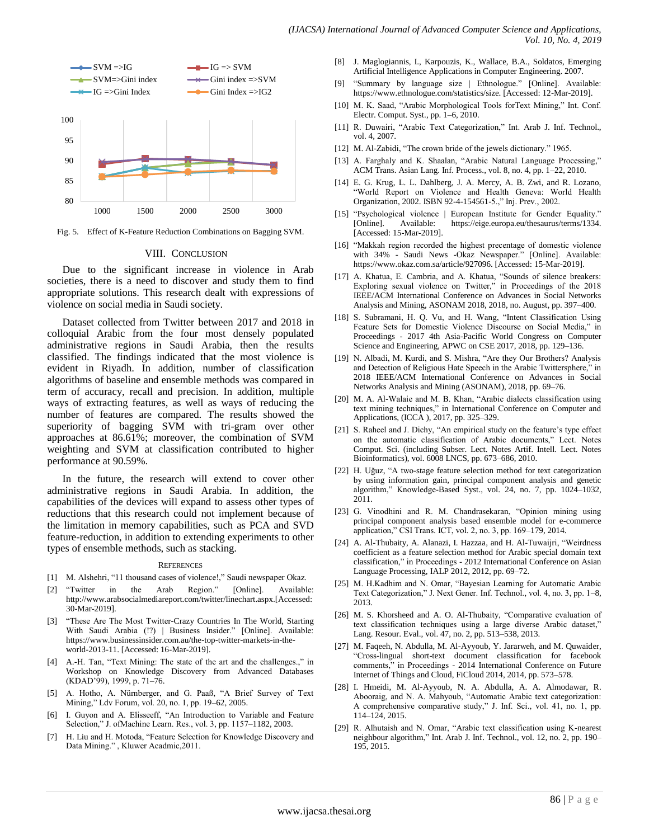

Fig. 5. Effect of K-Feature Reduction Combinations on Bagging SVM.

#### VIII. CONCLUSION

Due to the significant increase in violence in Arab societies, there is a need to discover and study them to find appropriate solutions. This research dealt with expressions of violence on social media in Saudi society.

Dataset collected from Twitter between 2017 and 2018 in colloquial Arabic from the four most densely populated administrative regions in Saudi Arabia, then the results classified. The findings indicated that the most violence is evident in Riyadh. In addition, number of classification algorithms of baseline and ensemble methods was compared in term of accuracy, recall and precision. In addition, multiple ways of extracting features, as well as ways of reducing the number of features are compared. The results showed the superiority of bagging SVM with tri-gram over other approaches at 86.61%; moreover, the combination of SVM weighting and SVM at classification contributed to higher performance at 90.59%.

In the future, the research will extend to cover other administrative regions in Saudi Arabia. In addition, the capabilities of the devices will expand to assess other types of reductions that this research could not implement because of the limitation in memory capabilities, such as PCA and SVD feature-reduction, in addition to extending experiments to other types of ensemble methods, such as stacking.

#### **REFERENCES**

- [1] M. Alshehri, "11 thousand cases of violence!," Saudi newspaper Okaz.
- [2] "Twitter in the Arab Region." [Online]. Available: http://www.arabsocialmediareport.com/twitter/linechart.aspx.[Accessed: 30-Mar-2019].
- [3] "These Are The Most Twitter-Crazy Countries In The World, Starting With Saudi Arabia (!?) | Business Insider." [Online]. Available: https://www.businessinsider.com.au/the-top-twitter-markets-in-theworld-2013-11. [Accessed: 16-Mar-2019].
- [4] A.-H. Tan, "Text Mining: The state of the art and the challenges.," in Workshop on Knowledge Discovery from Advanced Databases (KDAD'99), 1999, p. 71–76.
- [5] A. Hotho, A. Nürnberger, and G. Paaß, "A Brief Survey of Text Mining," Ldv Forum, vol. 20, no. 1, pp. 19-62, 2005.
- [6] I. Guyon and A. Elisseeff, "An Introduction to Variable and Feature Selection," J. of Machine Learn. Res., vol. 3, pp. 1157–1182, 2003.
- [7] H. Liu and H. Motoda, "Feature Selection for Knowledge Discovery and Data Mining.", Kluwer Acadmic, 2011.
- [8] J. Maglogiannis, I., Karpouzis, K., Wallace, B.A., Soldatos, Emerging Artificial Intelligence Applications in Computer Engineering. 2007.
- [9] "Summary by language size | Ethnologue." [Online]. Available: https://www.ethnologue.com/statistics/size. [Accessed: 12-Mar-2019].
- [10] M. K. Saad, "Arabic Morphological Tools forText Mining," Int. Conf. Electr. Comput. Syst., pp. 1–6, 2010.
- [11] R. Duwairi, "Arabic Text Categorization," Int. Arab J. Inf. Technol., vol. 4, 2007.
- [12] M. Al-Zabidi, "The crown bride of the jewels dictionary." 1965.
- [13] A. Farghaly and K. Shaalan, "Arabic Natural Language Processing," ACM Trans. Asian Lang. Inf. Process., vol. 8, no. 4, pp. 1–22, 2010.
- [14] E. G. Krug, L. L. Dahlberg, J. A. Mercy, A. B. Zwi, and R. Lozano, "World Report on Violence and Health Geneva: World Health Organization, 2002. ISBN 92-4-154561-5.," Inj. Prev., 2002.
- [15] "Psychological violence | European Institute for Gender Equality." [Online]. Available: https://eige.europa.eu/thesaurus/terms/1334. [Accessed: 15-Mar-2019].
- [16] "Makkah region recorded the highest precentage of domestic violence with 34% - Saudi News -Okaz Newspaper." [Online]. Available: https://www.okaz.com.sa/article/927096. [Accessed: 15-Mar-2019].
- [17] A. Khatua, E. Cambria, and A. Khatua, "Sounds of silence breakers: Exploring sexual violence on Twitter," in Proceedings of the 2018 IEEE/ACM International Conference on Advances in Social Networks Analysis and Mining, ASONAM 2018, 2018, no. August, pp. 397–400.
- [18] S. Subramani, H. Q. Vu, and H. Wang, "Intent Classification Using Feature Sets for Domestic Violence Discourse on Social Media," in Proceedings - 2017 4th Asia-Pacific World Congress on Computer Science and Engineering, APWC on CSE 2017, 2018, pp. 129–136.
- [19] N. Albadi, M. Kurdi, and S. Mishra, "Are they Our Brothers? Analysis and Detection of Religious Hate Speech in the Arabic Twittersphere," in 2018 IEEE/ACM International Conference on Advances in Social Networks Analysis and Mining (ASONAM), 2018, pp. 69–76.
- [20] M. A. Al-Walaie and M. B. Khan, "Arabic dialects classification using text mining techniques," in International Conference on Computer and Applications, (ICCA ), 2017, pp. 325–329.
- [21] S. Raheel and J. Dichy, "An empirical study on the feature's type effect on the automatic classification of Arabic documents," Lect. Notes Comput. Sci. (including Subser. Lect. Notes Artif. Intell. Lect. Notes Bioinformatics), vol. 6008 LNCS, pp. 673–686, 2010.
- [22] H. Uğuz, "A two-stage feature selection method for text categorization by using information gain, principal component analysis and genetic algorithm," Knowledge-Based Syst., vol. 24, no. 7, pp. 1024-1032, 2011.
- [23] G. Vinodhini and R. M. Chandrasekaran, "Opinion mining using principal component analysis based ensemble model for e-commerce application," CSI Trans. ICT, vol. 2, no. 3, pp. 169-179, 2014.
- [24] A. Al-Thubaity, A. Alanazi, I. Hazzaa, and H. Al-Tuwaijri, "Weirdness coefficient as a feature selection method for Arabic special domain text classification," in Proceedings - 2012 International Conference on Asian Language Processing, IALP 2012, 2012, pp. 69–72.
- [25] M. H.Kadhim and N. Omar, "Bayesian Learning for Automatic Arabic Text Categorization," J. Next Gener. Inf. Technol., vol. 4, no. 3, pp. 1-8, 2013.
- [26] M. S. Khorsheed and A. O. Al-Thubaity, "Comparative evaluation of text classification techniques using a large diverse Arabic dataset," Lang. Resour. Eval., vol. 47, no. 2, pp. 513–538, 2013.
- [27] M. Faqeeh, N. Abdulla, M. Al-Ayyoub, Y. Jararweh, and M. Quwaider, ―Cross-lingual short-text document classification for facebook comments," in Proceedings - 2014 International Conference on Future Internet of Things and Cloud, FiCloud 2014, 2014, pp. 573–578.
- [28] I. Hmeidi, M. Al-Ayyoub, N. A. Abdulla, A. A. Almodawar, R. Abooraig, and N. A. Mahyoub, "Automatic Arabic text categorization: A comprehensive comparative study," J. Inf. Sci., vol. 41, no. 1, pp. 114–124, 2015.
- [29] R. Alhutaish and N. Omar, "Arabic text classification using K-nearest neighbour algorithm," Int. Arab J. Inf. Technol., vol. 12, no. 2, pp. 190– 195, 2015.